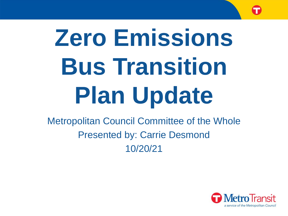

# **Zero Emissions Bus Transition Plan Update**

Metropolitan Council Committee of the Whole Presented by: Carrie Desmond 10/20/21

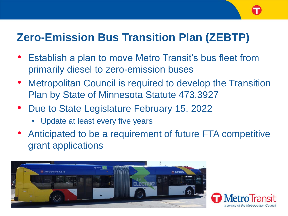### **Zero-Emission Bus Transition Plan (ZEBTP)**

- Establish a plan to move Metro Transit's bus fleet from primarily diesel to zero-emission buses
- Metropolitan Council is required to develop the Transition Plan by State of Minnesota Statute 473.3927
- Due to State Legislature February 15, 2022
	- Update at least every five years
- Anticipated to be a requirement of future FTA competitive grant applications



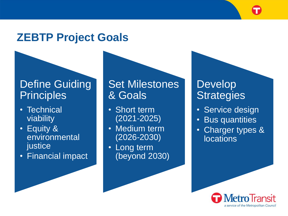#### **ZEBTP Project Goals**

#### Define Guiding **Principles**

- Technical viability
- Equity & environmental justice
- Financial impact

#### Set Milestones & Goals

- Short term (2021-2025)
- Medium term (2026-2030)
- Long term (beyond 2030)

#### Develop **Strategies**

- Service design
- Bus quantities
- Charger types & locations

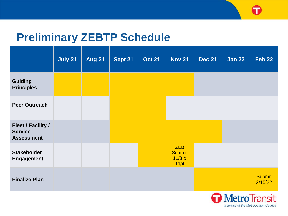#### **Preliminary ZEBTP Schedule**

|                                                                  | July 21 | <b>Aug 21</b> | Sept 21 | <b>Oct 21</b> | <b>Nov 21</b>                                 | <b>Dec 21</b> | <b>Jan 22</b> | <b>Feb 22</b>            |
|------------------------------------------------------------------|---------|---------------|---------|---------------|-----------------------------------------------|---------------|---------------|--------------------------|
| <b>Guiding</b><br><b>Principles</b>                              |         |               |         |               |                                               |               |               |                          |
| <b>Peer Outreach</b>                                             |         |               |         |               |                                               |               |               |                          |
| <b>Fleet / Facility /</b><br><b>Service</b><br><b>Assessment</b> |         |               |         |               |                                               |               |               |                          |
| <b>Stakeholder</b><br><b>Engagement</b>                          |         |               |         |               | <b>ZEB</b><br><b>Summit</b><br>11/3 &<br>11/4 |               |               |                          |
| <b>Finalize Plan</b>                                             |         |               |         |               |                                               |               |               | <b>Submit</b><br>2/15/22 |

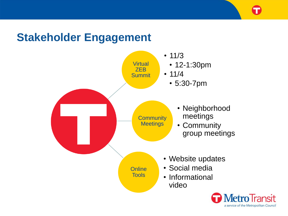#### **Stakeholder Engagement**



a service of the Metropolitan Council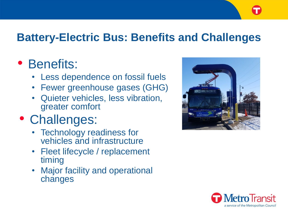#### **Battery-Electric Bus: Benefits and Challenges**

## • Benefits:

- Less dependence on fossil fuels
- Fewer greenhouse gases (GHG)
- Quieter vehicles, less vibration, greater comfort
- Challenges:
	- Technology readiness for vehicles and infrastructure
	- Fleet lifecycle / replacement timing
	- Major facility and operational changes



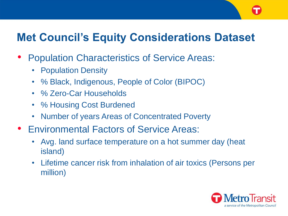### **Met Council's Equity Considerations Dataset**

- Population Characteristics of Service Areas:
	- Population Density
	- % Black, Indigenous, People of Color (BIPOC)
	- % Zero-Car Households
	- % Housing Cost Burdened
	- Number of years Areas of Concentrated Poverty
- Environmental Factors of Service Areas:
	- Avg. land surface temperature on a hot summer day (heat island)
	- Lifetime cancer risk from inhalation of air toxics (Persons per million)

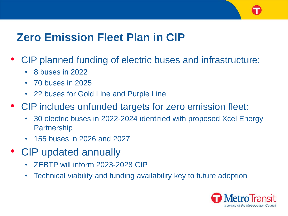### **Zero Emission Fleet Plan in CIP**

- CIP planned funding of electric buses and infrastructure:
	- 8 buses in 2022
	- 70 buses in 2025
	- 22 buses for Gold Line and Purple Line
- CIP includes unfunded targets for zero emission fleet:
	- 30 electric buses in 2022-2024 identified with proposed Xcel Energy **Partnership**
	- 155 buses in 2026 and 2027
- CIP updated annually
	- ZEBTP will inform 2023-2028 CIP
	- Technical viability and funding availability key to future adoption

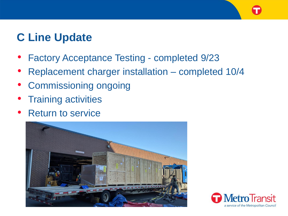### **C Line Update**

- Factory Acceptance Testing completed 9/23
- Replacement charger installation completed 10/4
- Commissioning ongoing
- Training activities
- Return to service



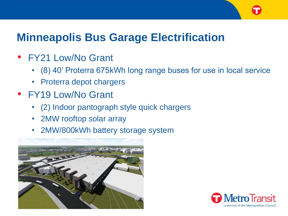### **Minneapolis Bus Garage Electrification**

- FY21 Low/No Grant
	- (8) 40' Proterra 675kWh long range buses for use in local service
	- Proterra depot chargers
- FY19 Low/No Grant
	- (2) Indoor pantograph style quick chargers
	- 2MW rooftop solar array
	- 2MW/800kWh battery storage system